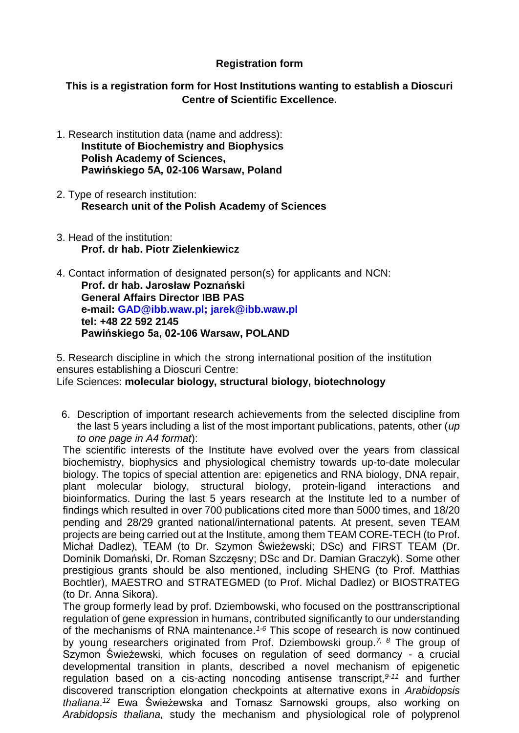## **Registration form**

**This is a registration form for Host Institutions wanting to establish a Dioscuri Centre of Scientific Excellence.**

- 1. Research institution data (name and address): **Institute of Biochemistry and Biophysics Polish Academy of Sciences, Pawińskiego 5A, 02-106 Warsaw, Poland**
- 2. Type of research institution: **Research unit of the Polish Academy of Sciences**
- 3. Head of the institution: **Prof. dr hab. Piotr Zielenkiewicz**
- 4. Contact information of designated person(s) for applicants and NCN: **Prof. dr hab. Jarosław Poznański General Affairs Director IBB PAS e-mail: [GAD@ibb.waw.pl;](mailto:GAD@ibb.waw.pl) [jarek@ibb.waw.pl](mailto:jarek@ibb.waw.pl) tel: +48 22 592 2145 Pawińskiego 5a, 02-106 Warsaw, POLAND**

5. Research discipline in which the strong international position of the institution ensures establishing a Dioscuri Centre:

Life Sciences: **molecular biology, structural biology, biotechnology**

6. Description of important research achievements from the selected discipline from the last 5 years including a list of the most important publications, patents, other (*up to one page in A4 format*):

The scientific interests of the Institute have evolved over the years from classical biochemistry, biophysics and physiological chemistry towards up-to-date molecular biology. The topics of special attention are: epigenetics and RNA biology, DNA repair, plant molecular biology, structural biology, protein-ligand interactions and bioinformatics. During the last 5 years research at the Institute led to a number of findings which resulted in over 700 publications cited more than 5000 times, and 18/20 pending and 28/29 granted national/international patents. At present, seven TEAM projects are being carried out at the Institute, among them TEAM CORE-TECH (to Prof. Michał Dadlez), TEAM (to Dr. Szymon Świeżewski; DSc) and FIRST TEAM (Dr. Dominik Domański, Dr. Roman Szczęsny; DSc and Dr. Damian Graczyk). Some other prestigious grants should be also mentioned, including SHENG (to Prof. Matthias Bochtler), MAESTRO and STRATEGMED (to Prof. Michal Dadlez) or BIOSTRATEG (to Dr. Anna Sikora).

The group formerly lead by prof. Dziembowski, who focused on the posttranscriptional regulation of gene expression in humans, contributed significantly to our understanding of the mechanisms of RNA maintenance.*1-6* This scope of research is now continued by young researchers originated from Prof. Dziembowski group.*7, 8* The group of Szymon Świeżewski, which focuses on regulation of seed dormancy - a crucial developmental transition in plants, described a novel mechanism of epigenetic regulation based on a cis-acting noncoding antisense transcript,*9-11* and further discovered transcription elongation checkpoints at alternative exons in *Arabidopsis thaliana*. *<sup>12</sup>* Ewa Świeżewska and Tomasz Sarnowski groups, also working on *Arabidopsis thaliana,* study the mechanism and physiological role of polyprenol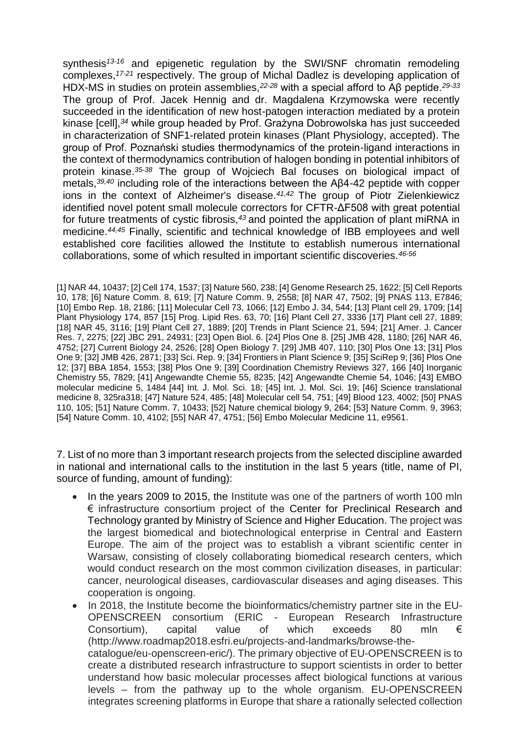synthesis*13-16* and epigenetic regulation by the SWI/SNF chromatin remodeling complexes, *17-21* respectively. The group of Michal Dadlez is developing application of HDX-MS in studies on protein assemblies,*22-28* with a special afford to Aβ peptide.*29-33* The group of Prof. Jacek Hennig and dr. Magdalena Krzymowska were recently succeeded in the identification of new host-patogen interaction mediated by a protein kinase [cell],*<sup>34</sup>* while group headed by Prof. Grażyna Dobrowolska has just succeeded in characterization of SNF1-related protein kinases (Plant Physiology, accepted). The group of Prof. Poznański studies thermodynamics of the protein-ligand interactions in the context of thermodynamics contribution of halogen bonding in potential inhibitors of protein kinase.*35-38* The group of Wojciech Bal focuses on biological impact of metals,*39,40* including role of the interactions between the Aβ4-42 peptide with copper ions in the context of Alzheimer's disease.*41,42* The group of Piotr Zielenkiewicz identified novel potent small molecule correctors for CFTR-ΔF508 with great potential for future treatments of cystic fibrosis,*<sup>43</sup>* and pointed the application of plant miRNA in medicine.*44,45* Finally, scientific and technical knowledge of IBB employees and well established core facilities allowed the Institute to establish numerous international collaborations, some of which resulted in important scientific discoveries.*46-56*

[1] NAR 44, 10437; [2] Cell 174, 1537; [3] Nature 560, 238; [4] Genome Research 25, 1622; [5] Cell Reports 10, 178; [6] Nature Comm. 8, 619; [7] Nature Comm. 9, 2558; [8] NAR 47, 7502; [9] PNAS 113, E7846; [10] Embo Rep. 18, 2186; [11] Molecular Cell 73, 1066; [12] Embo J. 34, 544; [13] Plant cell 29, 1709; [14] Plant Physiology 174, 857 [15] Prog. Lipid Res. 63, 70; [16] Plant Cell 27, 3336 [17] Plant cell 27, 1889; [18] NAR 45, 3116; [19] Plant Cell 27, 1889; [20] Trends in Plant Science 21, 594; [21] Amer. J. Cancer Res. 7, 2275; [22] JBC 291, 24931; [23] Open Biol. 6. [24] Plos One 8. [25] JMB 428, 1180; [26] NAR 46, 4752; [27] Current Biology 24, 2526; [28] Open Biology 7. [29] JMB 407, 110; [30] Plos One 13; [31] Plos One 9; [32] JMB 426, 2871; [33] Sci. Rep. 9; [34] Frontiers in Plant Science 9; [35] SciRep 9; [36] Plos One 12; [37] BBA 1854, 1553; [38] Plos One 9; [39] Coordination Chemistry Reviews 327, 166 [40] Inorganic Chemistry 55, 7829; [41] Angewandte Chemie 55, 8235; [42] Angewandte Chemie 54, 1046; [43] EMBO molecular medicine 5, 1484 [44] Int. J. Mol. Sci. 18; [45] Int. J. Mol. Sci. 19; [46] Science translational medicine 8, 325ra318; [47] Nature 524, 485; [48] Molecular cell 54, 751; [49] Blood 123, 4002; [50] PNAS 110, 105; [51] Nature Comm. 7, 10433; [52] Nature chemical biology 9, 264; [53] Nature Comm. 9, 3963; [54] Nature Comm. 10, 4102; [55] NAR 47, 4751; [56] Embo Molecular Medicine 11, e9561.

7. List of no more than 3 important research projects from the selected discipline awarded in national and international calls to the institution in the last 5 years (title, name of PI, source of funding, amount of funding):

- In the years 2009 to 2015, the Institute was one of the partners of worth 100 mln € infrastructure consortium project of the Center for Preclinical Research and Technology granted by Ministry of Science and Higher Education. The project was the largest biomedical and biotechnological enterprise in Central and Eastern Europe. The aim of the project was to establish a vibrant scientific center in Warsaw, consisting of closely collaborating biomedical research centers, which would conduct research on the most common civilization diseases, in particular: cancer, neurological diseases, cardiovascular diseases and aging diseases. This cooperation is ongoing.
- In 2018, the Institute become the bioinformatics/chemistry partner site in the EU-OPENSCREEN consortium (ERIC - European Research Infrastructure Consortium), capital value of which exceeds 80 mln  $\epsilon$ (http://www.roadmap2018.esfri.eu/projects-and-landmarks/browse-thecatalogue/eu-openscreen-eric/). The primary objective of EU-OPENSCREEN is to create a distributed research infrastructure to support scientists in order to better understand how basic molecular processes affect biological functions at various levels – from the pathway up to the whole organism. EU-OPENSCREEN integrates screening platforms in Europe that share a rationally selected collection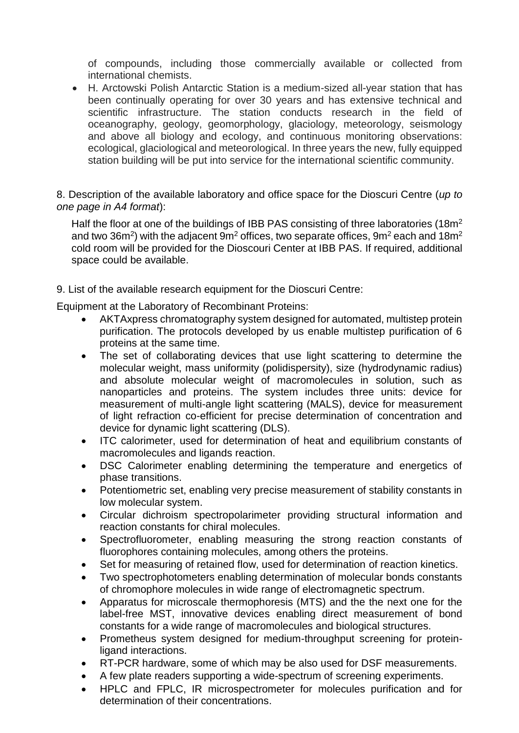of compounds, including those commercially available or collected from international chemists.

 H. Arctowski Polish Antarctic Station is a medium-sized all-year station that has been continually operating for over 30 years and has extensive technical and scientific infrastructure. The station conducts research in the field of oceanography, geology, geomorphology, glaciology, meteorology, seismology and above all biology and ecology, and continuous monitoring observations: ecological, glaciological and meteorological. In three years the new, fully equipped station building will be put into service for the international scientific community.

8. Description of the available laboratory and office space for the Dioscuri Centre (*up to one page in A4 format*):

Half the floor at one of the buildings of IBB PAS consisting of three laboratories (18m<sup>2</sup> and two 36m<sup>2</sup>) with the adjacent 9m<sup>2</sup> offices, two separate offices, 9m<sup>2</sup> each and 18m<sup>2</sup> cold room will be provided for the Dioscouri Center at IBB PAS. If required, additional space could be available.

9. List of the available research equipment for the Dioscuri Centre:

Equipment at the Laboratory of Recombinant Proteins:

- AKTAxpress chromatography system designed for automated, multistep protein purification. The protocols developed by us enable multistep purification of 6 proteins at the same time.
- The set of collaborating devices that use light scattering to determine the molecular weight, mass uniformity (polidispersity), size (hydrodynamic radius) and absolute molecular weight of macromolecules in solution, such as nanoparticles and proteins. The system includes three units: device for measurement of multi-angle light scattering (MALS), device for measurement of light refraction co-efficient for precise determination of concentration and device for dynamic light scattering (DLS).
- ITC calorimeter, used for determination of heat and equilibrium constants of macromolecules and ligands reaction.
- DSC Calorimeter enabling determining the temperature and energetics of phase transitions.
- Potentiometric set, enabling very precise measurement of stability constants in low molecular system.
- Circular dichroism spectropolarimeter providing structural information and reaction constants for chiral molecules.
- Spectrofluorometer, enabling measuring the strong reaction constants of fluorophores containing molecules, among others the proteins.
- Set for measuring of retained flow, used for determination of reaction kinetics.
- Two spectrophotometers enabling determination of molecular bonds constants of chromophore molecules in wide range of electromagnetic spectrum.
- Apparatus for microscale thermophoresis (MTS) and the the next one for the label-free MST, innovative devices enabling direct measurement of bond constants for a wide range of macromolecules and biological structures.
- Prometheus system designed for medium-throughput screening for proteinligand interactions.
- RT-PCR hardware, some of which may be also used for DSF measurements.
- A few plate readers supporting a wide-spectrum of screening experiments.
- HPLC and FPLC, IR microspectrometer for molecules purification and for determination of their concentrations.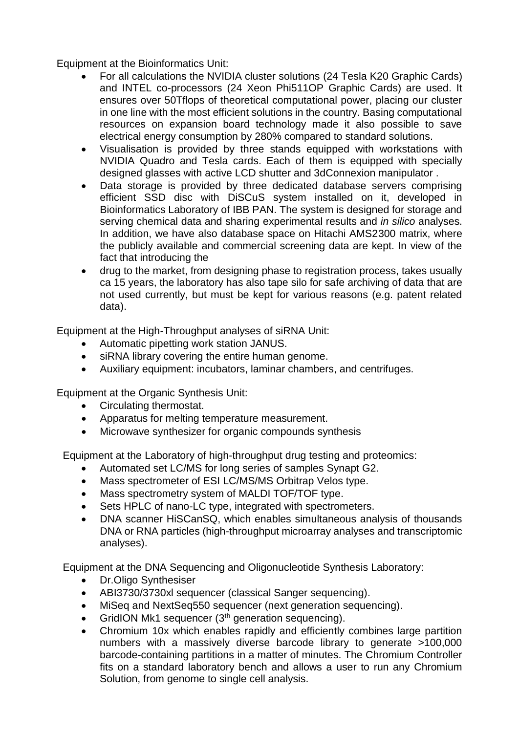Equipment at the Bioinformatics Unit:

- For all calculations the NVIDIA cluster solutions (24 Tesla K20 Graphic Cards) and INTEL co-processors (24 Xeon Phi511OP Graphic Cards) are used. It ensures over 50Tflops of theoretical computational power, placing our cluster in one line with the most efficient solutions in the country. Basing computational resources on expansion board technology made it also possible to save electrical energy consumption by 280% compared to standard solutions.
- Visualisation is provided by three stands equipped with workstations with NVIDIA Quadro and Tesla cards. Each of them is equipped with specially designed glasses with active LCD shutter and 3dConnexion manipulator .
- Data storage is provided by three dedicated database servers comprising efficient SSD disc with DiSCuS system installed on it, developed in Bioinformatics Laboratory of IBB PAN. The system is designed for storage and serving chemical data and sharing experimental results and *in silico* analyses. In addition, we have also database space on Hitachi AMS2300 matrix, where the publicly available and commercial screening data are kept. In view of the fact that introducing the
- drug to the market, from designing phase to registration process, takes usually ca 15 years, the laboratory has also tape silo for safe archiving of data that are not used currently, but must be kept for various reasons (e.g. patent related data).

Equipment at the High-Throughput analyses of siRNA Unit:

- Automatic pipetting work station JANUS.
- siRNA library covering the entire human genome.
- Auxiliary equipment: incubators, laminar chambers, and centrifuges.

Equipment at the Organic Synthesis Unit:

- Circulating thermostat.
- Apparatus for melting temperature measurement.
- Microwave synthesizer for organic compounds synthesis

Equipment at the Laboratory of high-throughput drug testing and proteomics:

- Automated set LC/MS for long series of samples Synapt G2.
- Mass spectrometer of ESI LC/MS/MS Orbitrap Velos type.
- Mass spectrometry system of MALDI TOF/TOF type.
- Sets HPLC of nano-LC type, integrated with spectrometers.
- DNA scanner HiSCanSQ, which enables simultaneous analysis of thousands DNA or RNA particles (high-throughput microarray analyses and transcriptomic analyses).

Equipment at the DNA Sequencing and Oligonucleotide Synthesis Laboratory:

- Dr.Oligo Synthesiser
- ABI3730/3730xl sequencer (classical Sanger sequencing).
- MiSeq and NextSeq550 sequencer (next generation sequencing).
- GridION Mk1 sequencer (3<sup>th</sup> generation sequencing).
- Chromium 10x which enables rapidly and efficiently combines large partition numbers with a massively diverse barcode library to generate >100,000 barcode-containing partitions in a matter of minutes. The Chromium Controller fits on a standard laboratory bench and allows a user to run any Chromium Solution, from genome to single cell analysis.